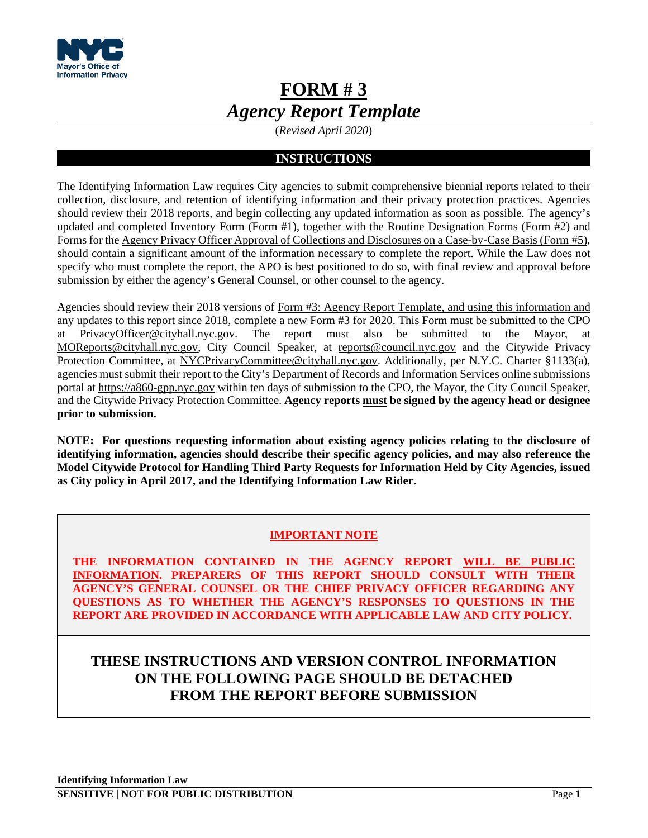

# **FORM # 3** *Agency Report Template*

(*Revised April 2020*)

## **INSTRUCTIONS**

The Identifying Information Law requires City agencies to submit comprehensive biennial reports related to their collection, disclosure, and retention of identifying information and their privacy protection practices. Agencies should review their 2018 reports, and begin collecting any updated information as soon as possible. The agency's updated and completed Inventory Form (Form #1), together with the Routine Designation Forms (Form #2) and Forms for the Agency Privacy Officer Approval of Collections and Disclosures on a Case-by-Case Basis (Form #5), should contain a significant amount of the information necessary to complete the report. While the Law does not specify who must complete the report, the APO is best positioned to do so, with final review and approval before submission by either the agency's General Counsel, or other counsel to the agency.

Agencies should review their 2018 versions of Form #3: Agency Report Template, and using this information and any updates to this report since 2018, complete a new Form #3 for 2020. This Form must be submitted to the CPO at PrivacyOfficer@cityhall.nyc.gov. The report must also be submitted to the Mayor, at MOReports@cityhall.nyc.gov, City Council Speaker, at reports@council.nyc.gov and the Citywide Privacy Protection Committee, at NYCPrivacyCommittee@cityhall.nyc.gov. Additionally, per N.Y.C. Charter §1133(a), agencies must submit their report to the City's Department of Records and Information Services online submissions portal at https://a860-gpp.nyc.gov within ten days of submission to the CPO, the Mayor, the City Council Speaker, and the Citywide Privacy Protection Committee. **Agency reports must be signed by the agency head or designee prior to submission.**

**NOTE: For questions requesting information about existing agency policies relating to the disclosure of identifying information, agencies should describe their specific agency policies, and may also reference the Model Citywide Protocol for Handling Third Party Requests for Information Held by City Agencies, issued as City policy in April 2017, and the Identifying Information Law Rider.** 

### **IMPORTANT NOTE**

**THE INFORMATION CONTAINED IN THE AGENCY REPORT WILL BE PUBLIC INFORMATION. PREPARERS OF THIS REPORT SHOULD CONSULT WITH THEIR AGENCY'S GENERAL COUNSEL OR THE CHIEF PRIVACY OFFICER REGARDING ANY QUESTIONS AS TO WHETHER THE AGENCY'S RESPONSES TO QUESTIONS IN THE REPORT ARE PROVIDED IN ACCORDANCE WITH APPLICABLE LAW AND CITY POLICY.**

# **THESE INSTRUCTIONS AND VERSION CONTROL INFORMATION ON THE FOLLOWING PAGE SHOULD BE DETACHED FROM THE REPORT BEFORE SUBMISSION**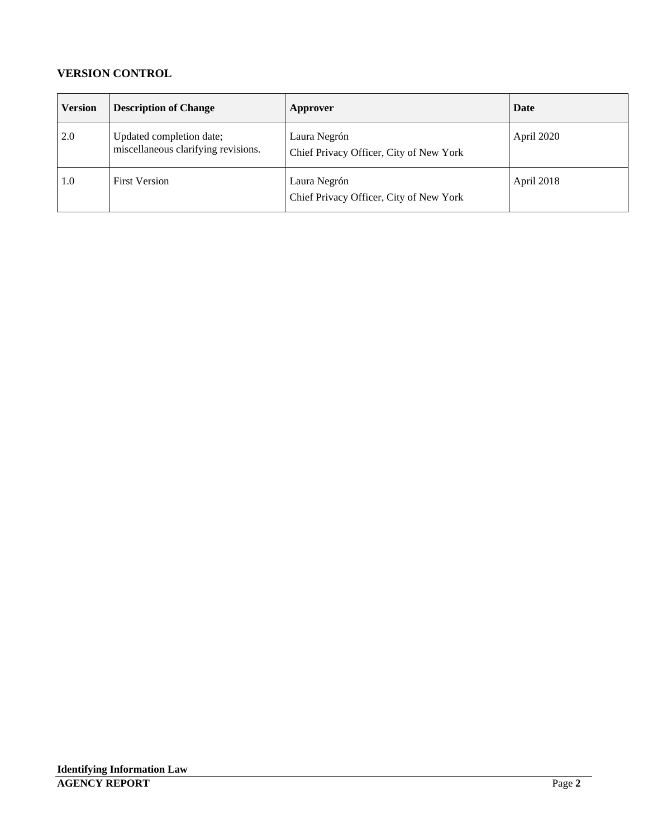### **VERSION CONTROL**

| <b>Version</b> | <b>Description of Change</b>                                    | Approver                                                | Date       |
|----------------|-----------------------------------------------------------------|---------------------------------------------------------|------------|
| 2.0            | Updated completion date;<br>miscellaneous clarifying revisions. | Laura Negrón<br>Chief Privacy Officer, City of New York | April 2020 |
| 1.0            | <b>First Version</b>                                            | Laura Negrón<br>Chief Privacy Officer, City of New York | April 2018 |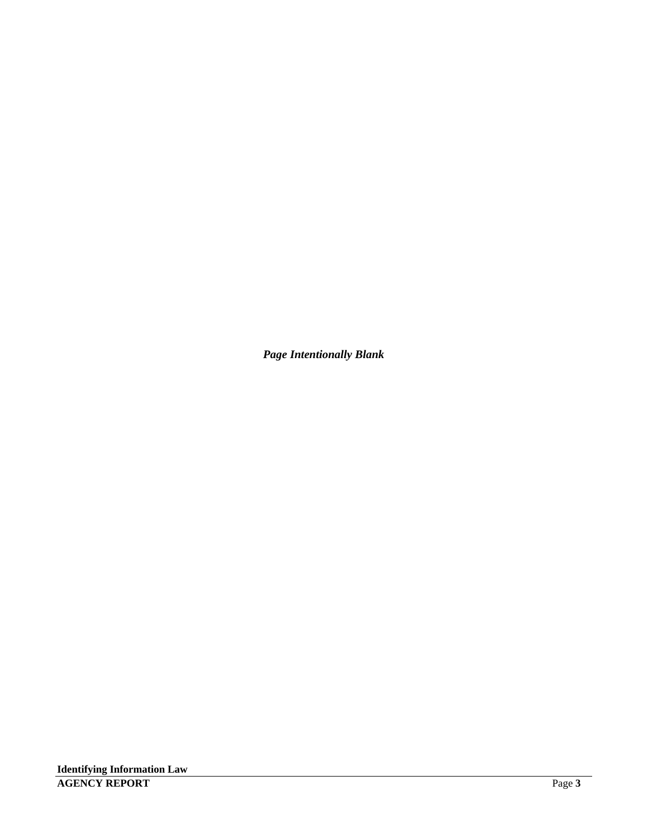*Page Intentionally Blank*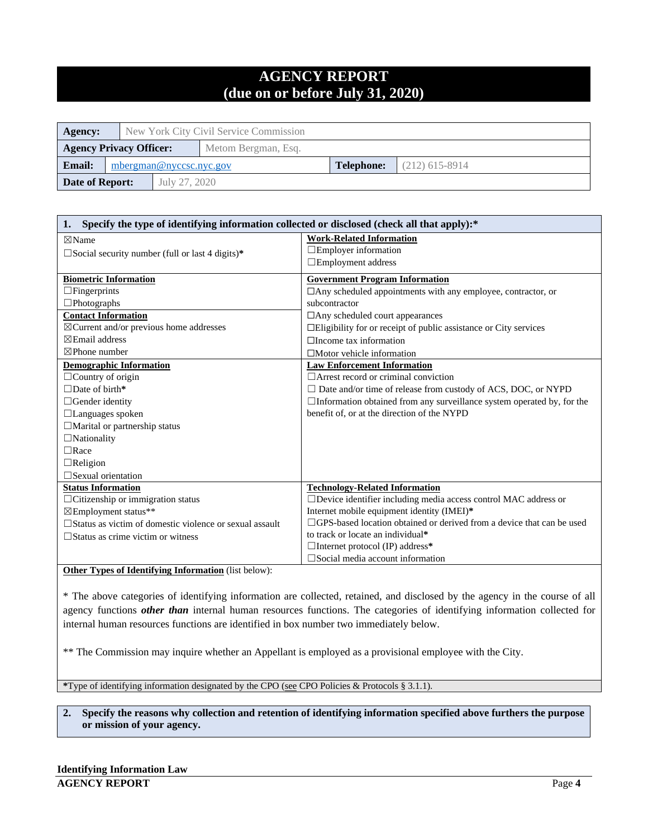# **AGENCY REPORT (due on or before July 31, 2020)**

| <b>Agency:</b>                                        |                                  | New York City Civil Service Commission |            |                  |  |
|-------------------------------------------------------|----------------------------------|----------------------------------------|------------|------------------|--|
| <b>Agency Privacy Officer:</b><br>Metom Bergman, Esq. |                                  |                                        |            |                  |  |
| <b>Email:</b>                                         | $m\text{bergman@nyccsc.nyc.gov}$ |                                        | Telephone: | $(212)$ 615-8914 |  |
| Date of Report:                                       |                                  | July 27, 2020                          |            |                  |  |

| 1.                                                                | Specify the type of identifying information collected or disclosed (check all that apply):* |  |  |
|-------------------------------------------------------------------|---------------------------------------------------------------------------------------------|--|--|
| $\boxtimes$ Name                                                  | <b>Work-Related Information</b>                                                             |  |  |
| $\square$ Social security number (full or last 4 digits)*         | $\Box$ Employer information                                                                 |  |  |
|                                                                   | $\Box$ Employment address                                                                   |  |  |
| <b>Biometric Information</b>                                      | <b>Government Program Information</b>                                                       |  |  |
| $\Box$ Fingerprints                                               | $\Box$ Any scheduled appointments with any employee, contractor, or                         |  |  |
| $\Box$ Photographs                                                | subcontractor                                                                               |  |  |
| <b>Contact Information</b>                                        | $\Box$ Any scheduled court appearances                                                      |  |  |
| ⊠Current and/or previous home addresses                           | $\Box$ Eligibility for or receipt of public assistance or City services                     |  |  |
| $\boxtimes$ Email address                                         | $\Box$ Income tax information                                                               |  |  |
| $\boxtimes$ Phone number                                          | $\Box$ Motor vehicle information                                                            |  |  |
| <b>Demographic Information</b>                                    | <b>Law Enforcement Information</b>                                                          |  |  |
| $\Box$ Country of origin                                          | $\Box$ Arrest record or criminal conviction                                                 |  |  |
| $\Box$ Date of birth*                                             | $\Box$ Date and/or time of release from custody of ACS, DOC, or NYPD                        |  |  |
| $\Box$ Gender identity                                            | $\Box$ Information obtained from any surveillance system operated by, for the               |  |  |
| $\Box$ Languages spoken                                           | benefit of, or at the direction of the NYPD                                                 |  |  |
| □ Marital or partnership status                                   |                                                                                             |  |  |
| $\Box$ Nationality                                                |                                                                                             |  |  |
| $\Box$ Race                                                       |                                                                                             |  |  |
| $\Box$ Religion                                                   |                                                                                             |  |  |
| $\Box$ Sexual orientation                                         |                                                                                             |  |  |
| <b>Status Information</b>                                         | <b>Technology-Related Information</b>                                                       |  |  |
| $\Box$ Citizenship or immigration status                          | $\Box$ Device identifier including media access control MAC address or                      |  |  |
| ⊠Employment status**                                              | Internet mobile equipment identity (IMEI)*                                                  |  |  |
| $\square$ Status as victim of domestic violence or sexual assault | $\Box$ GPS-based location obtained or derived from a device that can be used                |  |  |
| $\square$ Status as crime victim or witness                       | to track or locate an individual*                                                           |  |  |
|                                                                   | $\Box$ Internet protocol (IP) address*                                                      |  |  |
|                                                                   | $\square$ Social media account information                                                  |  |  |

**Other Types of Identifying Information** (list below):

\* The above categories of identifying information are collected, retained, and disclosed by the agency in the course of all agency functions *other than* internal human resources functions. The categories of identifying information collected for internal human resources functions are identified in box number two immediately below.

\*\* The Commission may inquire whether an Appellant is employed as a provisional employee with the City.

**\***Type of identifying information designated by the CPO (see CPO Policies & Protocols § 3.1.1).

#### **2. Specify the reasons why collection and retention of identifying information specified above furthers the purpose or mission of your agency.**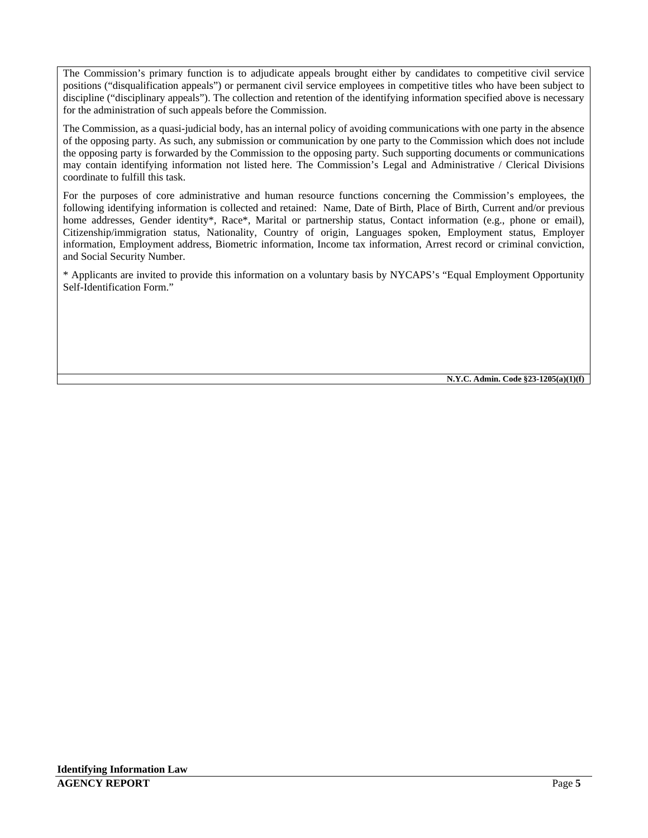The Commission's primary function is to adjudicate appeals brought either by candidates to competitive civil service positions ("disqualification appeals") or permanent civil service employees in competitive titles who have been subject to discipline ("disciplinary appeals"). The collection and retention of the identifying information specified above is necessary for the administration of such appeals before the Commission.

The Commission, as a quasi-judicial body, has an internal policy of avoiding communications with one party in the absence of the opposing party. As such, any submission or communication by one party to the Commission which does not include the opposing party is forwarded by the Commission to the opposing party. Such supporting documents or communications may contain identifying information not listed here. The Commission's Legal and Administrative / Clerical Divisions coordinate to fulfill this task.

For the purposes of core administrative and human resource functions concerning the Commission's employees, the following identifying information is collected and retained: Name, Date of Birth, Place of Birth, Current and/or previous home addresses, Gender identity\*, Race\*, Marital or partnership status, Contact information (e.g., phone or email), Citizenship/immigration status, Nationality, Country of origin, Languages spoken, Employment status, Employer information, Employment address, Biometric information, Income tax information, Arrest record or criminal conviction, and Social Security Number.

\* Applicants are invited to provide this information on a voluntary basis by NYCAPS's "Equal Employment Opportunity Self-Identification Form."

**N.Y.C. Admin. Code §23-1205(a)(1)(f)**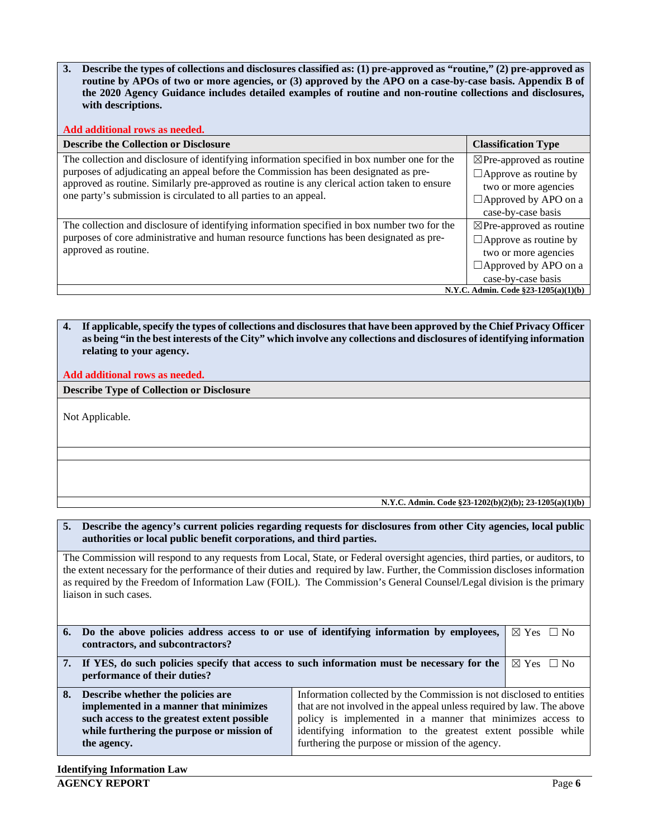**3. Describe the types of collections and disclosures classified as: (1) pre-approved as "routine," (2) pre-approved as routine by APOs of two or more agencies, or (3) approved by the APO on a case-by-case basis. Appendix B of the 2020 Agency Guidance includes detailed examples of routine and non-routine collections and disclosures, with descriptions.**

| Add additional rows as needed.                                                                                                                                                                                                                                                                                                                             |                                                                                                                                                  |
|------------------------------------------------------------------------------------------------------------------------------------------------------------------------------------------------------------------------------------------------------------------------------------------------------------------------------------------------------------|--------------------------------------------------------------------------------------------------------------------------------------------------|
| <b>Describe the Collection or Disclosure</b>                                                                                                                                                                                                                                                                                                               | <b>Classification Type</b>                                                                                                                       |
| The collection and disclosure of identifying information specified in box number one for the<br>purposes of adjudicating an appeal before the Commission has been designated as pre-<br>approved as routine. Similarly pre-approved as routine is any clerical action taken to ensure<br>one party's submission is circulated to all parties to an appeal. | $\boxtimes$ Pre-approved as routine<br>$\Box$ Approve as routine by<br>two or more agencies<br>$\Box$ Approved by APO on a<br>case-by-case basis |
| The collection and disclosure of identifying information specified in box number two for the<br>purposes of core administrative and human resource functions has been designated as pre-<br>approved as routine.                                                                                                                                           | $\boxtimes$ Pre-approved as routine<br>$\Box$ Approve as routine by<br>two or more agencies<br>$\Box$ Approved by APO on a<br>case-by-case basis |
|                                                                                                                                                                                                                                                                                                                                                            | N.Y.C. Admin. Code $\S 23 - 1205(a)(1)(b)$                                                                                                       |

**4. If applicable, specify the types of collections and disclosuresthat have been approved by the Chief Privacy Officer as being "in the best interests of the City" which involve any collections and disclosures of identifying information relating to your agency.**

#### **Add additional rows as needed.**

**Describe Type of Collection or Disclosure**

Not Applicable.

**N.Y.C. Admin. Code §23-1202(b)(2)(b); 23-1205(a)(1)(b)**

# **5. Describe the agency's current policies regarding requests for disclosures from other City agencies, local public authorities or local public benefit corporations, and third parties.**

The Commission will respond to any requests from Local, State, or Federal oversight agencies, third parties, or auditors, to the extent necessary for the performance of their duties and required by law. Further, the Commission discloses information as required by the Freedom of Information Law (FOIL). The Commission's General Counsel/Legal division is the primary liaison in such cases.

| 6. Do the above policies address access to or use of identifying information by employees,<br>contractors, and subcontractors?                                                             |                                                                                                                                                                                                                                                                                                                                  | $\boxtimes$ Yes $\Box$ No |
|--------------------------------------------------------------------------------------------------------------------------------------------------------------------------------------------|----------------------------------------------------------------------------------------------------------------------------------------------------------------------------------------------------------------------------------------------------------------------------------------------------------------------------------|---------------------------|
| 7. If YES, do such policies specify that access to such information must be necessary for the<br>performance of their duties?                                                              |                                                                                                                                                                                                                                                                                                                                  | $\boxtimes$ Yes $\Box$ No |
| 8. Describe whether the policies are<br>implemented in a manner that minimizes<br>such access to the greatest extent possible<br>while furthering the purpose or mission of<br>the agency. | Information collected by the Commission is not disclosed to entities<br>that are not involved in the appeal unless required by law. The above<br>policy is implemented in a manner that minimizes access to<br>identifying information to the greatest extent possible while<br>furthering the purpose or mission of the agency. |                           |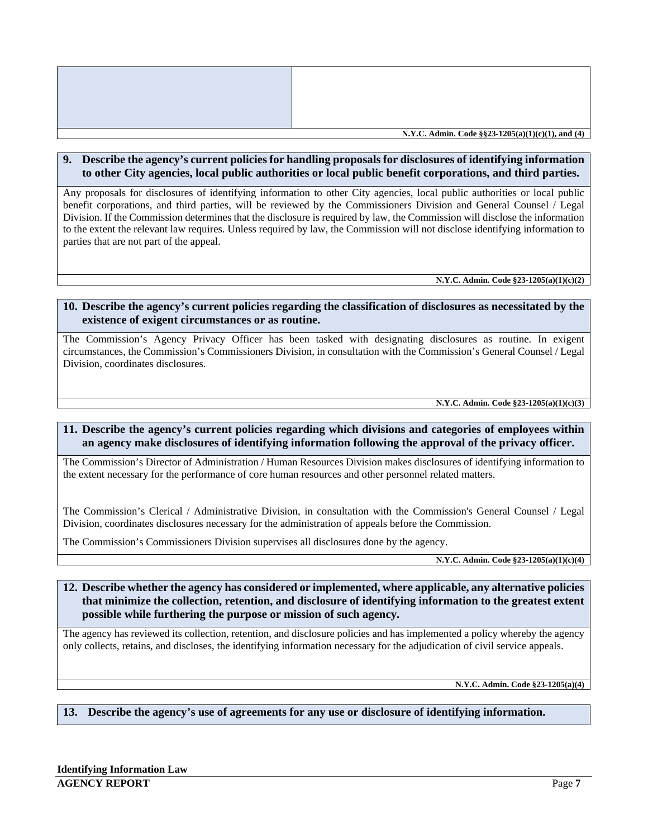#### **N.Y.C. Admin. Code §§23-1205(a)(1)(c)(1), and (4)**

### **9. Describe the agency's current policies for handling proposals for disclosures of identifying information to other City agencies, local public authorities or local public benefit corporations, and third parties.**

Any proposals for disclosures of identifying information to other City agencies, local public authorities or local public benefit corporations, and third parties, will be reviewed by the Commissioners Division and General Counsel / Legal Division. If the Commission determines that the disclosure is required by law, the Commission will disclose the information to the extent the relevant law requires. Unless required by law, the Commission will not disclose identifying information to parties that are not part of the appeal.

**N.Y.C. Admin. Code §23-1205(a)(1)(c)(2)**

### **10. Describe the agency's current policies regarding the classification of disclosures as necessitated by the existence of exigent circumstances or as routine.**

The Commission's Agency Privacy Officer has been tasked with designating disclosures as routine. In exigent circumstances, the Commission's Commissioners Division, in consultation with the Commission's General Counsel / Legal Division, coordinates disclosures.

**N.Y.C. Admin. Code §23-1205(a)(1)(c)(3)**

### **11. Describe the agency's current policies regarding which divisions and categories of employees within an agency make disclosures of identifying information following the approval of the privacy officer.**

The Commission's Director of Administration / Human Resources Division makes disclosures of identifying information to the extent necessary for the performance of core human resources and other personnel related matters.

The Commission's Clerical / Administrative Division, in consultation with the Commission's General Counsel / Legal Division, coordinates disclosures necessary for the administration of appeals before the Commission.

The Commission's Commissioners Division supervises all disclosures done by the agency.

**N.Y.C. Admin. Code §23-1205(a)(1)(c)(4)**

### **12. Describe whether the agency has considered or implemented, where applicable, any alternative policies that minimize the collection, retention, and disclosure of identifying information to the greatest extent possible while furthering the purpose or mission of such agency.**

The agency has reviewed its collection, retention, and disclosure policies and has implemented a policy whereby the agency only collects, retains, and discloses, the identifying information necessary for the adjudication of civil service appeals.

**N.Y.C. Admin. Code §23-1205(a)(4)**

**13. Describe the agency's use of agreements for any use or disclosure of identifying information.**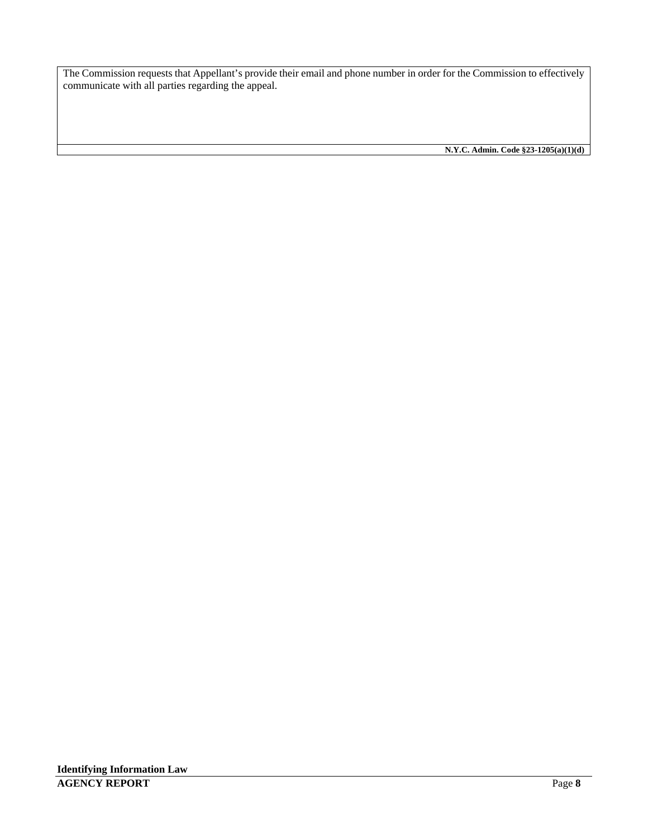The Commission requests that Appellant's provide their email and phone number in order for the Commission to effectively communicate with all parties regarding the appeal.

**N.Y.C. Admin. Code §23-1205(a)(1)(d)**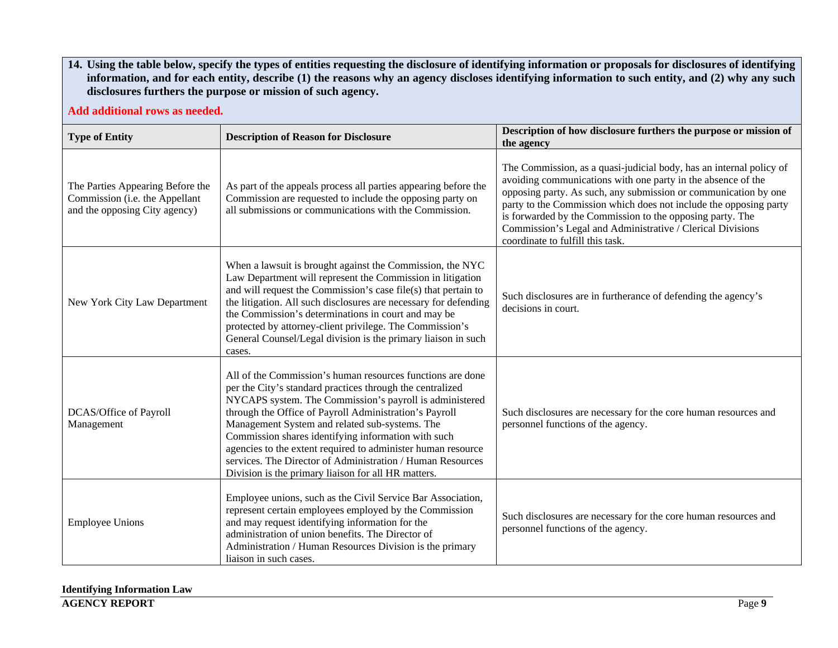**14. Using the table below, specify the types of entities requesting the disclosure of identifying information or proposals for disclosures of identifying information, and for each entity, describe (1) the reasons why an agency discloses identifying information to such entity, and (2) why any such disclosures furthers the purpose or mission of such agency.**

**Add additional rows as needed.**

| <b>Type of Entity</b>                                                                               | <b>Description of Reason for Disclosure</b>                                                                                                                                                                                                                                                                                                                                                                                                                                                                                                | Description of how disclosure furthers the purpose or mission of<br>the agency                                                                                                                                                                                                                                                                                                                                                             |
|-----------------------------------------------------------------------------------------------------|--------------------------------------------------------------------------------------------------------------------------------------------------------------------------------------------------------------------------------------------------------------------------------------------------------------------------------------------------------------------------------------------------------------------------------------------------------------------------------------------------------------------------------------------|--------------------------------------------------------------------------------------------------------------------------------------------------------------------------------------------------------------------------------------------------------------------------------------------------------------------------------------------------------------------------------------------------------------------------------------------|
| The Parties Appearing Before the<br>Commission (i.e. the Appellant<br>and the opposing City agency) | As part of the appeals process all parties appearing before the<br>Commission are requested to include the opposing party on<br>all submissions or communications with the Commission.                                                                                                                                                                                                                                                                                                                                                     | The Commission, as a quasi-judicial body, has an internal policy of<br>avoiding communications with one party in the absence of the<br>opposing party. As such, any submission or communication by one<br>party to the Commission which does not include the opposing party<br>is forwarded by the Commission to the opposing party. The<br>Commission's Legal and Administrative / Clerical Divisions<br>coordinate to fulfill this task. |
| New York City Law Department                                                                        | When a lawsuit is brought against the Commission, the NYC<br>Law Department will represent the Commission in litigation<br>and will request the Commission's case file(s) that pertain to<br>the litigation. All such disclosures are necessary for defending<br>the Commission's determinations in court and may be<br>protected by attorney-client privilege. The Commission's<br>General Counsel/Legal division is the primary liaison in such<br>cases.                                                                                | Such disclosures are in furtherance of defending the agency's<br>decisions in court.                                                                                                                                                                                                                                                                                                                                                       |
| DCAS/Office of Payroll<br>Management                                                                | All of the Commission's human resources functions are done<br>per the City's standard practices through the centralized<br>NYCAPS system. The Commission's payroll is administered<br>through the Office of Payroll Administration's Payroll<br>Management System and related sub-systems. The<br>Commission shares identifying information with such<br>agencies to the extent required to administer human resource<br>services. The Director of Administration / Human Resources<br>Division is the primary liaison for all HR matters. | Such disclosures are necessary for the core human resources and<br>personnel functions of the agency.                                                                                                                                                                                                                                                                                                                                      |
| <b>Employee Unions</b>                                                                              | Employee unions, such as the Civil Service Bar Association,<br>represent certain employees employed by the Commission<br>and may request identifying information for the<br>administration of union benefits. The Director of<br>Administration / Human Resources Division is the primary<br>liaison in such cases.                                                                                                                                                                                                                        | Such disclosures are necessary for the core human resources and<br>personnel functions of the agency.                                                                                                                                                                                                                                                                                                                                      |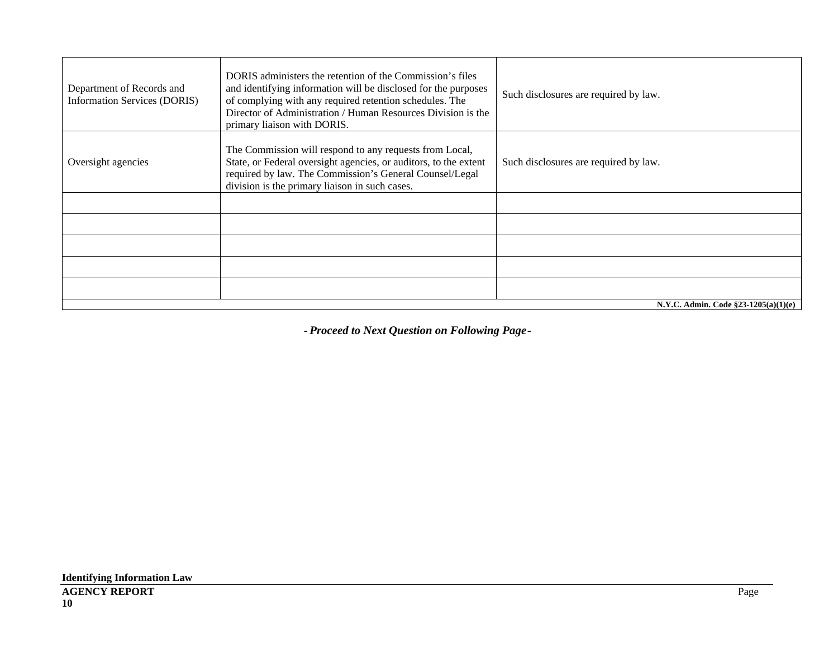| Department of Records and<br><b>Information Services (DORIS)</b> | DORIS administers the retention of the Commission's files<br>and identifying information will be disclosed for the purposes<br>of complying with any required retention schedules. The<br>Director of Administration / Human Resources Division is the<br>primary liaison with DORIS. | Such disclosures are required by law. |
|------------------------------------------------------------------|---------------------------------------------------------------------------------------------------------------------------------------------------------------------------------------------------------------------------------------------------------------------------------------|---------------------------------------|
| Oversight agencies                                               | The Commission will respond to any requests from Local,<br>State, or Federal oversight agencies, or auditors, to the extent<br>required by law. The Commission's General Counsel/Legal<br>division is the primary liaison in such cases.                                              | Such disclosures are required by law. |
|                                                                  |                                                                                                                                                                                                                                                                                       |                                       |
|                                                                  |                                                                                                                                                                                                                                                                                       |                                       |
|                                                                  |                                                                                                                                                                                                                                                                                       |                                       |
|                                                                  |                                                                                                                                                                                                                                                                                       |                                       |
|                                                                  |                                                                                                                                                                                                                                                                                       |                                       |
|                                                                  |                                                                                                                                                                                                                                                                                       | N.Y.C. Admin. Code §23-1205(a)(1)(e)  |

**-** *Proceed to Next Question on Following Page***-**

**Identifying Information Law**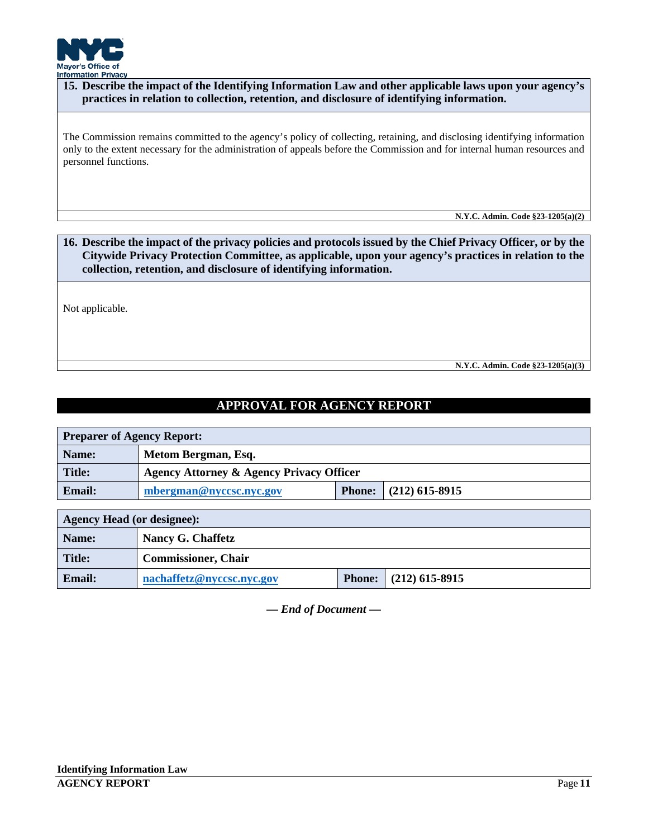

**15. Describe the impact of the Identifying Information Law and other applicable laws upon your agency's practices in relation to collection, retention, and disclosure of identifying information.**

The Commission remains committed to the agency's policy of collecting, retaining, and disclosing identifying information only to the extent necessary for the administration of appeals before the Commission and for internal human resources and personnel functions.

**N.Y.C. Admin. Code §23-1205(a)(2)**

**16. Describe the impact of the privacy policies and protocols issued by the Chief Privacy Officer, or by the Citywide Privacy Protection Committee, as applicable, upon your agency's practices in relation to the collection, retention, and disclosure of identifying information.**

Not applicable.

**N.Y.C. Admin. Code §23-1205(a)(3)**

### **APPROVAL FOR AGENCY REPORT**

| <b>Preparer of Agency Report:</b> |                                          |               |                  |
|-----------------------------------|------------------------------------------|---------------|------------------|
| Name:                             | Metom Bergman, Esq.                      |               |                  |
| <b>Title:</b>                     | Agency Attorney & Agency Privacy Officer |               |                  |
| <b>Email:</b>                     | mbergman@nyccsc.nyc.gov                  | <b>Phone:</b> | $(212)$ 615-8915 |

| <b>Agency Head (or designee):</b> |                            |               |                  |
|-----------------------------------|----------------------------|---------------|------------------|
| Name:                             | Nancy G. Chaffetz          |               |                  |
| <b>Title:</b>                     | <b>Commissioner, Chair</b> |               |                  |
| <b>Email:</b>                     | nachaffetz@nyccsc.nyc.gov  | <b>Phone:</b> | $(212)$ 615-8915 |

**—** *End of Document* **—**